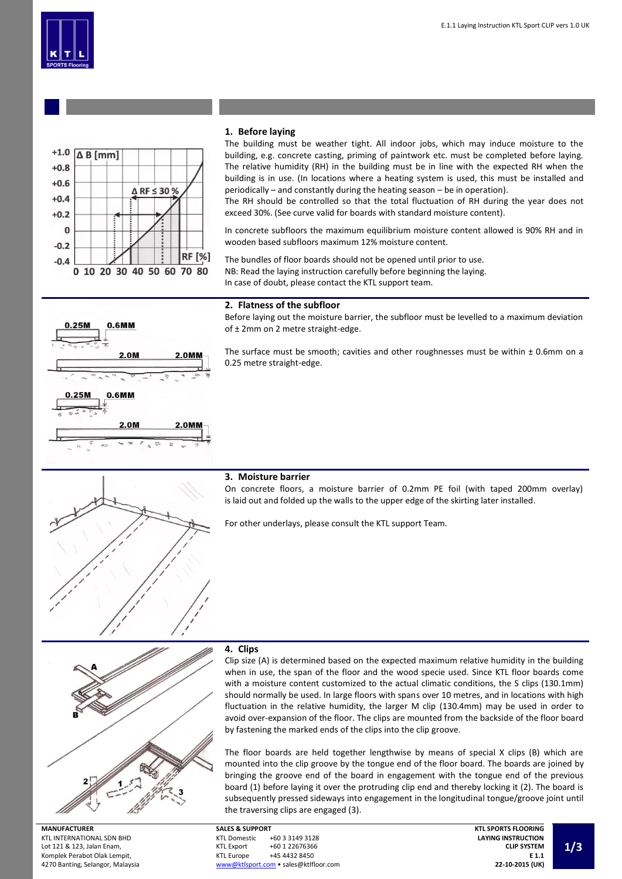



## **1. Before laying**

The building must be weather tight. All indoor jobs, which may induce moisture to the building, e.g. concrete casting, priming of paintwork etc. must be completed before laying. The relative humidity (RH) in the building must be in line with the expected RH when the building is in use. (In locations where a heating system is used, this must be installed and periodically – and constantly during the heating season – be in operation).

The RH should be controlled so that the total fluctuation of RH during the year does not exceed 30%. (See curve valid for boards with standard moisture content).

In concrete subfloors the maximum equilibrium moisture content allowed is 90% RH and in wooden based subfloors maximum 12% moisture content.

The bundles of floor boards should not be opened until prior to use. NB: Read the laying instruction carefully before beginning the laying. In case of doubt, please contact the KTL support team.



#### **2. Flatness of the subfloor**

Before laying out the moisture barrier, the subfloor must be levelled to a maximum deviation of ± 2mm on 2 metre straight-edge.

The surface must be smooth; cavities and other roughnesses must be within  $\pm$  0.6mm on a 0.25 metre straight-edge.

#### **3. Moisture barrier**

On concrete floors, a moisture barrier of 0.2mm PE foil (with taped 200mm overlay) is laid out and folded up the walls to the upper edge of the skirting later installed.

For other underlays, please consult the KTL support Team.



**MANUFACTURER** KTL INTERNATIONAL SDN BHD Lot 121 & 123, Jalan Enam, Komplek Perabot Olak Lempit, 4270 Banting, Selangor, Malaysia

## **4. Clips**

Clip size (A) is determined based on the expected maximum relative humidity in the building when in use, the span of the floor and the wood specie used. Since KTL floor boards come with a moisture content customized to the actual climatic conditions, the S clips (130.1mm) should normally be used. In large floors with spans over 10 metres, and in locations with high fluctuation in the relative humidity, the larger M clip (130.4mm) may be used in order to avoid over-expansion of the floor. The clips are mounted from the backside of the floor board by fastening the marked ends of the clips into the clip groove.

The floor boards are held together lengthwise by means of special X clips (B) which are mounted into the clip groove by the tongue end of the floor board. The boards are joined by bringing the groove end of the board in engagement with the tongue end of the previous board (1) before laying it over the protruding clip end and thereby locking it (2). The board is subsequently pressed sideways into engagement in the longitudinal tongue/groove joint until the traversing clips are engaged (3).

**SALES & SUPPORT** +60 3 3149 3128 KTL Export +60 1 22676366<br>KTL Europe +45 4432 8450 +45 4432 8450 [www@ktlsport.com](mailto:www@ktlsport.com) • sales@ktlfloor.com **KTL SPORTS FLOORING LAYING INSTRUCTION CLIP SYSTEM E 1.1 22-10-2015 (UK)**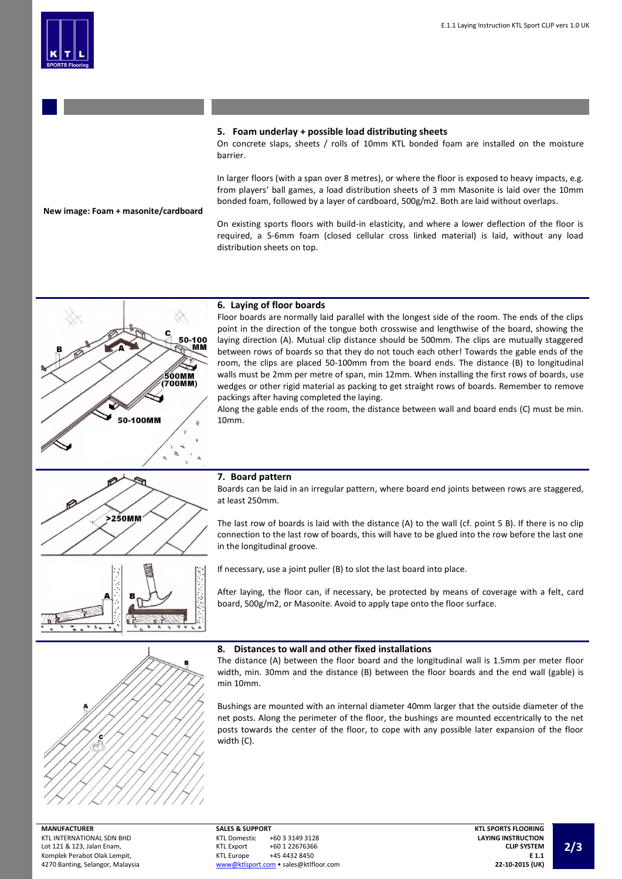## **5. Foam underlay + possible load distributing sheets**

On concrete slaps, sheets / rolls of 10mm KTL bonded foam are installed on the moisture barrier.

In larger floors (with a span over 8 metres), or where the floor is exposed to heavy impacts, e.g. from players' ball games, a load distribution sheets of 3 mm Masonite is laid over the 10mm bonded foam, followed by a layer of cardboard, 500g/m2. Both are laid without overlaps.

#### **New image: Foam + masonite/cardboard**

On existing sports floors with build-in elasticity, and where a lower deflection of the floor is required, a 5-6mm foam (closed cellular cross linked material) is laid, without any load distribution sheets on top.



#### **6. Laying of floor boards**

Floor boards are normally laid parallel with the longest side of the room. The ends of the clips point in the direction of the tongue both crosswise and lengthwise of the board, showing the laying direction (A). Mutual clip distance should be 500mm. The clips are mutually staggered between rows of boards so that they do not touch each other! Towards the gable ends of the room, the clips are placed 50-100mm from the board ends. The distance (B) to longitudinal walls must be 2mm per metre of span, min 12mm. When installing the first rows of boards, use wedges or other rigid material as packing to get straight rows of boards. Remember to remove packings after having completed the laying.

Along the gable ends of the room, the distance between wall and board ends (C) must be min. 10mm.





Boards can be laid in an irregular pattern, where board end joints between rows are staggered, at least 250mm.

The last row of boards is laid with the distance (A) to the wall (cf. point 5 B). If there is no clip connection to the last row of boards, this will have to be glued into the row before the last one in the longitudinal groove.

If necessary, use a joint puller (B) to slot the last board into place.

After laying, the floor can, if necessary, be protected by means of coverage with a felt, card board, 500g/m2, or Masonite. Avoid to apply tape onto the floor surface.



# **8. Distances to wall and other fixed installations**

The distance (A) between the floor board and the longitudinal wall is 1.5mm per meter floor width, min. 30mm and the distance (B) between the floor boards and the end wall (gable) is min 10mm.

Bushings are mounted with an internal diameter 40mm larger that the outside diameter of the net posts. Along the perimeter of the floor, the bushings are mounted eccentrically to the net posts towards the center of the floor, to cope with any possible later expansion of the floor width (C).

**SALES & SUPPORT** +60 3 3149 3128 KTL Export +60 1 22676366<br>KTL Europe +45 4432 8450 +45 4432 8450 [www@ktlsport.com](mailto:www@ktlsport.com) • sales@ktlfloor.com